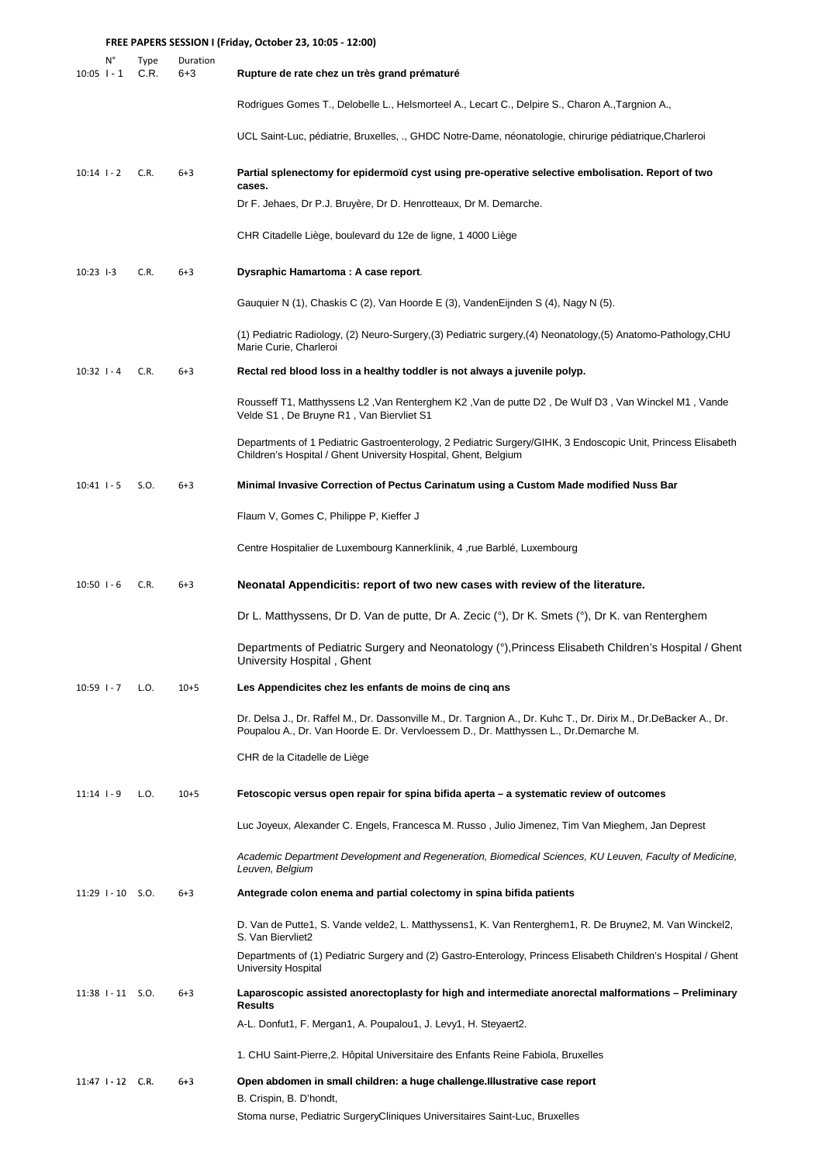|                 |                                 | FREE PAPERS SESSION I (Friday, October 23, 10:05 - 12:00) |                     |                                                                                                                                                                                                          |
|-----------------|---------------------------------|-----------------------------------------------------------|---------------------|----------------------------------------------------------------------------------------------------------------------------------------------------------------------------------------------------------|
| $10:05$ $-1$    | N°                              | Type<br>C.R.                                              | Duration<br>$6 + 3$ | Rupture de rate chez un très grand prématuré                                                                                                                                                             |
|                 |                                 |                                                           |                     | Rodrigues Gomes T., Delobelle L., Helsmorteel A., Lecart C., Delpire S., Charon A., Targnion A.,                                                                                                         |
|                 |                                 |                                                           |                     | UCL Saint-Luc, pédiatrie, Bruxelles, ., GHDC Notre-Dame, néonatologie, chirurige pédiatrique,Charleroi                                                                                                   |
| $10:14$ $1 - 2$ |                                 | C.R.                                                      | $6 + 3$             | Partial splenectomy for epidermoïd cyst using pre-operative selective embolisation. Report of two<br>cases.                                                                                              |
|                 |                                 |                                                           |                     | Dr F. Jehaes, Dr P.J. Bruyère, Dr D. Henrotteaux, Dr M. Demarche.                                                                                                                                        |
|                 |                                 |                                                           |                     | CHR Citadelle Liège, boulevard du 12e de ligne, 1 4000 Liège                                                                                                                                             |
| $10:23$ $-3$    |                                 | C.R.                                                      | $6 + 3$             | Dysraphic Hamartoma: A case report.                                                                                                                                                                      |
|                 |                                 |                                                           |                     | Gauquier N (1), Chaskis C (2), Van Hoorde E (3), VandenEijnden S (4), Nagy N (5).                                                                                                                        |
|                 |                                 |                                                           |                     | (1) Pediatric Radiology, (2) Neuro-Surgery,(3) Pediatric surgery,(4) Neonatology,(5) Anatomo-Pathology,CHU<br>Marie Curie, Charleroi                                                                     |
| $10:32$ $1 - 4$ |                                 | C.R.                                                      | $6 + 3$             | Rectal red blood loss in a healthy toddler is not always a juvenile polyp.                                                                                                                               |
|                 |                                 |                                                           |                     | , 21 Nousseff T1, Matthyssens L2 , Van Renterghem K2 , Van de putte D2 , De Wulf D3 , Van Winckel M1<br>Velde S1, De Bruyne R1, Van Biervliet S1                                                         |
|                 |                                 |                                                           |                     | Departments of 1 Pediatric Gastroenterology, 2 Pediatric Surgery/GIHK, 3 Endoscopic Unit, Princess Elisabeth<br>Children's Hospital / Ghent University Hospital, Ghent, Belgium                          |
| $10:41$ $-5$    |                                 | S.O.                                                      | $6 + 3$             | Minimal Invasive Correction of Pectus Carinatum using a Custom Made modified Nuss Bar                                                                                                                    |
|                 |                                 |                                                           |                     | Flaum V, Gomes C, Philippe P, Kieffer J                                                                                                                                                                  |
|                 |                                 |                                                           |                     | Centre Hospitalier de Luxembourg Kannerklinik, 4, rue Barblé, Luxembourg                                                                                                                                 |
| $10:50$ $1 - 6$ |                                 | C.R.                                                      | $6 + 3$             | Neonatal Appendicitis: report of two new cases with review of the literature.                                                                                                                            |
|                 |                                 |                                                           |                     | Dr L. Matthyssens, Dr D. Van de putte, Dr A. Zecic (°), Dr K. Smets (°), Dr K. van Renterghem                                                                                                            |
|                 |                                 |                                                           |                     | Departments of Pediatric Surgery and Neonatology (°), Princess Elisabeth Children's Hospital / Ghent<br>University Hospital, Ghent                                                                       |
| $10:59$ $1 - 7$ |                                 | L.O.                                                      | $10+5$              | Les Appendicites chez les enfants de moins de cinq ans                                                                                                                                                   |
|                 |                                 |                                                           |                     | Dr. Delsa J., Dr. Raffel M., Dr. Dassonville M., Dr. Targnion A., Dr. Kuhc T., Dr. Dirix M., Dr.DeBacker A., Dr.<br>Poupalou A., Dr. Van Hoorde E. Dr. Vervloessem D., Dr. Matthyssen L., Dr.Demarche M. |
|                 |                                 |                                                           |                     | CHR de la Citadelle de Liège                                                                                                                                                                             |
| $11:14$ $-9$    |                                 | L.O.                                                      | $10+5$              | Fetoscopic versus open repair for spina bifida aperta – a systematic review of outcomes                                                                                                                  |
|                 |                                 |                                                           |                     | Luc Joyeux, Alexander C. Engels, Francesca M. Russo, Julio Jimenez, Tim Van Mieghem, Jan Deprest                                                                                                         |
|                 |                                 |                                                           |                     | Academic Department Development and Regeneration, Biomedical Sciences, KU Leuven, Faculty of Medicine,<br>Leuven, Belgium                                                                                |
|                 | $11:29$ $1 - 10$ S.O.           |                                                           | $6 + 3$             | Antegrade colon enema and partial colectomy in spina bifida patients                                                                                                                                     |
|                 |                                 |                                                           |                     | D. Van de Putte1, S. Vande velde2, L. Matthyssens1, K. Van Renterghem1, R. De Bruyne2, M. Van Winckel2,<br>S. Van Biervliet2                                                                             |
|                 |                                 |                                                           |                     | Departments of (1) Pediatric Surgery and (2) Gastro-Enterology, Princess Elisabeth Children's Hospital / Ghent<br>University Hospital                                                                    |
|                 | $11:38$ $\mid$ - 11 $\mid$ S.O. |                                                           | $6 + 3$             | Laparoscopic assisted anorectoplasty for high and intermediate anorectal malformations – Preliminary<br><b>Results</b>                                                                                   |
|                 |                                 |                                                           |                     | A-L. Donfut1, F. Mergan1, A. Poupalou1, J. Levy1, H. Steyaert2.                                                                                                                                          |
|                 |                                 |                                                           |                     | 1. CHU Saint-Pierre, 2. Hôpital Universitaire des Enfants Reine Fabiola, Bruxelles                                                                                                                       |
|                 | $11:47$ $-12$ C.R.              |                                                           | $6 + 3$             | Open abdomen in small children: a huge challenge.Illustrative case report<br>B. Crispin, B. D'hondt,                                                                                                     |
|                 |                                 |                                                           |                     | Stoma nurse, Pediatric SurgeryCliniques Universitaires Saint-Luc, Bruxelles                                                                                                                              |